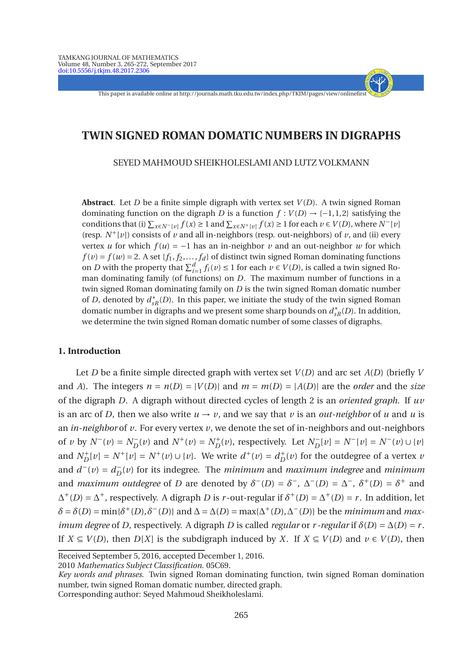This paper is available online at http://journals.math.tku.edu.tw/index.php/TKJM/pages/view/onlinefirst

- + - - - -

## **TWIN SIGNED ROMAN DOMATIC NUMBERS IN DIGRAPHS**

SEYED MAHMOUD SHEIKHOLESLAMI AND LUTZ VOLKMANN

**Abstract**. Let *D* be a finite simple digraph with vertex set *V* (*D*). A twin signed Roman dominating function on the digraph *D* is a function  $f: V(D) \rightarrow \{-1,1,2\}$  satisfying the *c*onditions that (i)  $\sum_{x \in N^{-}[v]} f(x) \ge 1$  and  $\sum_{x \in N^{+}[v]} f(x) \ge 1$  for each  $v \in V(D)$ , where  $N^{-}[v]$ (resp.  $N^+[v]$ ) consists of *v* and all in-neighbors (resp. out-neighbors) of *v*, and (ii) every vertex *u* for which  $f(u) = -1$  has an in-neighbor *v* and an out-neighbor *w* for which  $f(v) = f(w) = 2$ . A set { $f_1, f_2, ..., f_d$ } of distinct twin signed Roman dominating functions on *D* with the property that  $\sum_{i=1}^{d} f_i(v) \le 1$  for each  $v \in V(D)$ , is called a twin signed Roman dominating family (of functions) on *D*. The maximum number of functions in a twin signed Roman dominating family on *D* is the twin signed Roman domatic number of *D*, denoted by  $d_{sR}^*(D)$ . In this paper, we initiate the study of the twin signed Roman domatic number in digraphs and we present some sharp bounds on  $d_{\mathfrak{s} R}^{*}(D).$  In addition, we determine the twin signed Roman domatic number of some classes of digraphs.

## **1. Introduction**

Let *D* be a finite simple directed graph with vertex set *V* (*D*) and arc set *A*(*D*) (briefly *V* and *A*). The integers  $n = n(D) = |V(D)|$  and  $m = m(D) = |A(D)|$  are the *order* and the *size* of the digraph *D*. A digraph without directed cycles of length 2 is an *oriented graph*. If *uv* is an arc of *D*, then we also write  $u \to v$ , and we say that *v* is an *out-neighbor* of *u* and *u* is an *in-neighbor* of *v*. For every vertex *v*, we denote the set of in-neighbors and out-neighbors of v by  $N^-(v) = N_D^-(v)$  and  $N^+(v) = N_D^+(v)$ , respectively. Let  $N_D^-[v] = N^-(v) \cup \{v\}$ and  $N_D^+[v] = N^+[v] = N^+(v) \cup \{v\}$ . We write  $d^+(v) = d_D^+(v)$  for the outdegree of a vertex *v* and  $d^-(v) = d_D^-(v)$  for its indegree. The *minimum* and *maximum indegree* and *minimum* and *maximum outdegree* of *D* are denoted by  $\delta^{-}(D) = \delta^{-}$ ,  $\Delta^{-}(D) = \Delta^{-}$ ,  $\delta^{+}(D) = \delta^{+}$  and  $\Delta^+(D) = \Delta^+$ , respectively. A digraph *D* is *r*-out-regular if  $\delta^+(D) = \Delta^+(D) = r$ . In addition, let  $\delta = \delta(D) = \min{\{\delta^+(D), \delta^-(D)\}}$  and  $\Delta = \Delta(D) = \max{\{\Delta^+(D), \Delta^-(D)\}}$  be the *minimum* and *maximum degree* of *D*, respectively. A digraph *D* is called *regular* or *r* -*regular* if  $\delta(D) = \Delta(D) = r$ . If *X* ⊆ *V*(*D*), then *D*[*X*] is the subdigraph induced by *X*. If *X* ⊆ *V*(*D*) and *v* ∈ *V*(*D*), then

2010 *Mathematics Subject Classification*. 05C69.

*Key words and phrases*. Twin signed Roman dominating function, twin signed Roman domination number, twin signed Roman domatic number, directed graph.

Corresponding author: Seyed Mahmoud Sheikholeslami.

Received September 5, 2016, accepted December 1, 2016.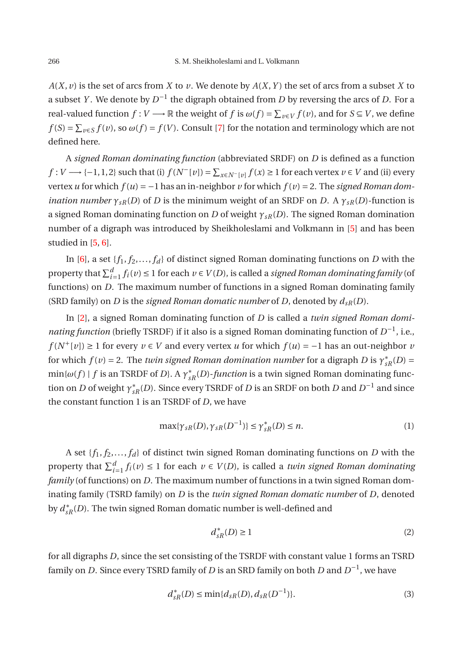$A(X, v)$  is the set of arcs from *X* to *v*. We denote by  $A(X, Y)$  the set of arcs from a subset *X* to a subset *Y* . We denote by  $D^{-1}$  the digraph obtained from  $D$  by reversing the arcs of  $D.$  For a real-valued function  $f: V \longrightarrow \mathbb{R}$  the weight of  $f$  is  $\omega(f) = \sum_{v \in V} f(v)$ , and for  $S \subseteq V$ , we define  $f(S) = \sum_{v \in S} f(v)$ , so  $\omega(f) = f(V)$ . Consult [\[7\]](#page-7-0) for the notation and terminology which are not defined here.

A *signed Roman dominating function* (abbreviated SRDF) on *D* is defined as a function *f* : *V* → {−1,1,2} such that (i)  $f(N^{-}[v]) = \sum_{x \in N^{-}[v]} f(x) \ge 1$  for each vertex  $v \in V$  and (ii) every vertex *u* for which  $f(u) = -1$  has an in-neighbor *v* for which  $f(v) = 2$ . The *signed Roman domination number*  $\gamma_{sR}(D)$  of *D* is the minimum weight of an SRDF on *D*. A  $\gamma_{sR}(D)$ -function is a signed Roman dominating function on *D* of weight *γsR*(*D*). The signed Roman domination number of a digraph was introduced by Sheikholeslami and Volkmann in [\[5](#page-7-1)] and has been studied in [\[5](#page-7-1), [6](#page-7-2)].

In [\[6](#page-7-2)], a set  $\{f_1, f_2, \ldots, f_d\}$  of distinct signed Roman dominating functions on *D* with the property that  $\sum_{i=1}^{d} f_i(v) \leq 1$  for each  $v \in V(D)$ , is called a *signed Roman dominating family* (of functions) on *D*. The maximum number of functions in a signed Roman dominating family (SRD family) on *D* is the *signed Roman domatic number* of *D*, denoted by  $d_{sR}(D)$ .

In [\[2\]](#page-7-3), a signed Roman dominating function of *D* is called a *twin signed Roman dominating function* (briefly TSRDF) if it also is a signed Roman dominating function of  $D^{-1}$ , i.e., *f* (*N*<sup>+</sup>[*v*]) ≥ 1 for every *v* ∈ *V* and every vertex *u* for which *f* (*u*) = −1 has an out-neighbor *v* for which  $f(v)$  = 2. The *twin signed Roman domination number* for a digraph *D* is  $\gamma^*_{sR}(D)$  =  $\min\{\omega(f) \mid f \text{ is an TSRDF of } D\}$ . A  $\gamma^*_{sR}(D)$ *-function* is a twin signed Roman dominating function on *D* of weight  $\gamma_{sR}^*(D)$ . Since every TSRDF of *D* is an SRDF on both *D* and  $D^{-1}$  and since the constant function 1 is an TSRDF of *D*, we have

$$
\max{\gamma_{sR}(D), \gamma_{sR}(D^{-1})} \le \gamma_{sR}^*(D) \le n. \tag{1}
$$

A set  $\{f_1, f_2, \ldots, f_d\}$  of distinct twin signed Roman dominating functions on *D* with the property that  $\sum_{i=1}^{d} f_i(v) \leq 1$  for each  $v \in V(D)$ , is called a *twin signed Roman dominating family* (of functions) on *D*. The maximum number of functions in a twin signed Roman dominating family (TSRD family) on *D* is the *twin signed Roman domatic number* of *D*, denoted by  $d_{sR}^{\ast}(D).$  The twin signed Roman domatic number is well-defined and

<span id="page-1-1"></span><span id="page-1-0"></span>
$$
d_{sR}^*(D) \ge 1\tag{2}
$$

for all digraphs *D*, since the set consisting of the TSRDF with constant value 1 forms an TSRD family on *D*. Since every TSRD family of *D* is an SRD family on both *D* and  $D^{-1}$ , we have

$$
d_{sR}^*(D) \le \min\{d_{sR}(D), d_{sR}(D^{-1})\}.
$$
\n(3)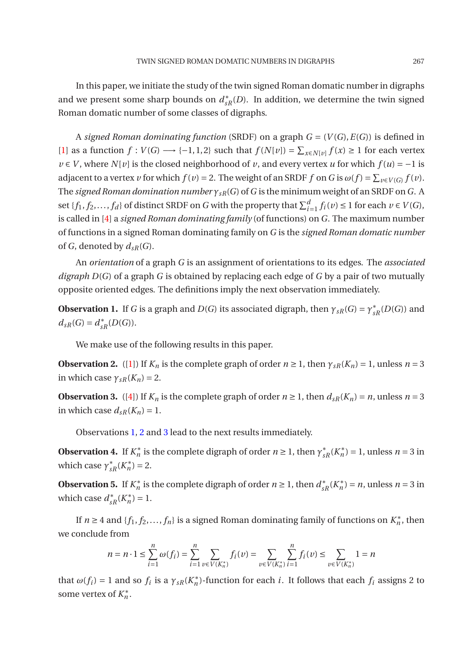In this paper, we initiate the study of the twin signed Roman domatic number in digraphs and we present some sharp bounds on  $d_{sR}^*(D)$ . In addition, we determine the twin signed Roman domatic number of some classes of digraphs.

A *signed Roman dominating function* (SRDF) on a graph  $G = (V(G), E(G))$  is defined in [\[1](#page-7-4)] as a function  $f: V(G) \longrightarrow \{-1, 1, 2\}$  such that  $f(N[v]) = \sum_{x \in N[v]} f(x) \ge 1$  for each vertex *v* ∈ *V*, where *N*[*v*] is the closed neighborhood of *v*, and every vertex *u* for which  $f(u) = -1$  is adjacent to a vertex *v* for which  $f(v) = 2$ . The weight of an SRDF  $f$  on  $G$  is  $\omega(f) = \sum_{v \in V(G)} f(v)$ . The *signed Roman domination number γsR*(*G*) of*G* is the minimum weight of an SRDF on*G*. A set  $\{f_1, f_2, \ldots, f_d\}$  of distinct SRDF on *G* with the property that  $\sum_{i=1}^d f_i(v) \le 1$  for each  $v \in V(G)$ , is called in [\[4\]](#page-7-5) a *signed Roman dominating family* (of functions) on *G*. The maximum number of functions in a signed Roman dominating family on *G* is the *signed Roman domatic number* of *G*, denoted by  $d_{sR}(G)$ .

An *orientation* of a graph *G* is an assignment of orientations to its edges. The *associated digraph D*(*G*) of a graph *G* is obtained by replacing each edge of *G* by a pair of two mutually opposite oriented edges. The definitions imply the next observation immediately.

<span id="page-2-0"></span>**Observation 1.** If *G* is a graph and *D*(*G*) its associated digraph, then  $\gamma_{sR}(G) = \gamma_{sR}^*(D(G))$  and  $d_{sR}(G) = d_{sR}^*(D(G)).$ 

<span id="page-2-1"></span>We make use of the following results in this paper.

**Observation 2.** ([\[1\]](#page-7-4)) If  $K_n$  is the complete graph of order  $n \ge 1$ , then  $\gamma_{sR}(K_n) = 1$ , unless  $n = 3$ in which case  $\gamma_{sR}(K_n) = 2$ .

<span id="page-2-2"></span>**Observation 3.** ([\[4](#page-7-5)]) If  $K_n$  is the complete graph of order  $n \ge 1$ , then  $d_{sR}(K_n) = n$ , unless  $n = 3$ in which case  $d_{sR}(K_n) = 1$ .

<span id="page-2-5"></span>Observations [1,](#page-2-0) [2](#page-2-1) and [3](#page-2-2) lead to the next results immediately.

**Observation 4.** If  $K_n^*$  is the complete digraph of order  $n \ge 1$ , then  $\gamma_{sR}^*(K_n^*) = 1$ , unless  $n = 3$  in which case  $\gamma_{sR}^*(K_n^*) = 2$ .

<span id="page-2-4"></span>**Observation 5.** If  $K_n^*$  is the complete digraph of order  $n \ge 1$ , then  $d_{sR}^*(K_n^*) = n$ , unless  $n = 3$  in which case  $d_{sR}^*(K_n^*) = 1$ .

If  $n \geq 4$  and  $\{f_1, f_2, \ldots, f_n\}$  is a signed Roman dominating family of functions on  $K_n^*$ , then we conclude from

$$
n = n \cdot 1 \le \sum_{i=1}^{n} \omega(f_i) = \sum_{i=1}^{n} \sum_{v \in V(K_n^*)} f_i(v) = \sum_{v \in V(K_n^*)} \sum_{i=1}^{n} f_i(v) \le \sum_{v \in V(K_n^*)} 1 = n
$$

<span id="page-2-3"></span>that  $\omega(f_i) = 1$  and so  $f_i$  is a  $\gamma_{sR}(K_n^*)$ -function for each *i*. It follows that each  $f_i$  assigns 2 to some vertex of  $K_n^*$ .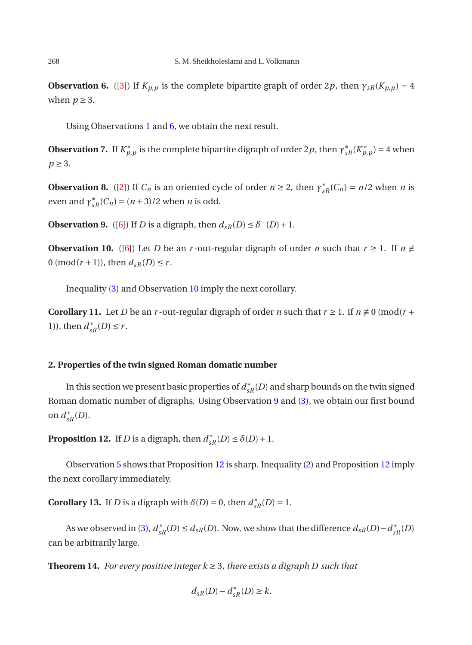**Observation 6.** ([\[3\]](#page-7-6)) If  $K_{p,p}$  is the complete bipartite graph of order 2*p*, then  $\gamma_{sR}(K_{p,p}) = 4$ when  $p \geq 3$ .

<span id="page-3-4"></span>Using Observations [1](#page-2-0) and [6,](#page-2-3) we obtain the next result.

**Observation 7.** If  $K_{p,p}^*$  is the complete bipartite digraph of order 2*p*, then  $\gamma_{sR}^*(K_{p,p}^*)$  = 4 when  $p \geq 3$ .

<span id="page-3-5"></span>**Observation 8.** ([\[2](#page-7-3)]) If  $C_n$  is an oriented cycle of order  $n \ge 2$ , then  $\gamma_{sR}^*(C_n) = n/2$  when *n* is even and  $\gamma_{sR}^*(C_n) = (n+3)/2$  when *n* is odd.

<span id="page-3-1"></span><span id="page-3-0"></span>**Observation 9.** ([\[6](#page-7-2)]) If *D* is a digraph, then  $d_{sR}(D) \leq \delta^{-}(D) + 1$ .

**Observation 10.** ([\[6\]](#page-7-2)) Let *D* be an *r*-out-regular digraph of order *n* such that  $r \ge 1$ . If  $n \ne$ 0 (mod( $r$  + 1)), then  $d_{sR}(D) \leq r$ .

<span id="page-3-6"></span>Inequality [\(3\)](#page-1-0) and Observation [10](#page-3-0) imply the next corollary.

**Corollary 11.** Let *D* be an *r*-out-regular digraph of order *n* such that  $r \ge 1$ . If  $n \ne 0$  (mod( $r +$ 1)), then  $d_{sR}^*(D) \le r$ .

## **2. Properties of the twin signed Roman domatic number**

In this section we present basic properties of  $d_{sR}^*(D)$  and sharp bounds on the twin signed Roman domatic number of digraphs. Using Observation [9](#page-3-1) and [\(3\)](#page-1-0), we obtain our first bound on  $d_{sR}^*(D)$ .

<span id="page-3-2"></span>**Proposition 12.** If *D* is a digraph, then  $d_{sR}^*(D) \le \delta(D) + 1$ .

<span id="page-3-3"></span>Observation [5](#page-2-4) shows that Proposition [12](#page-3-2) is sharp. Inequality [\(2\)](#page-1-1) and Proposition [12](#page-3-2) imply the next corollary immediately.

**Corollary 13.** If *D* is a digraph with  $\delta(D) = 0$ , then  $d_{sR}^*(D) = 1$ .

As we observed in [\(3\)](#page-1-0),  $d_{sR}^*(D) \leq d_{sR}(D)$ . Now, we show that the difference  $d_{sR}(D) - d_{sR}^*(D)$ can be arbitrarily large.

**Theorem 14.** *For every positive integer*  $k \geq 3$ *, there exists a digraph D such that* 

$$
d_{sR}(D) - d_{sR}^*(D) \ge k.
$$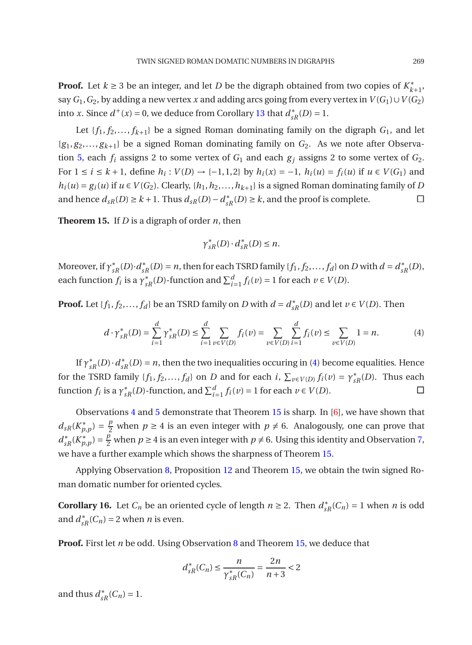**Proof.** Let  $k \ge 3$  be an integer, and let *D* be the digraph obtained from two copies of  $K_{k+1}^*$ , say  $G_1$ ,  $G_2$ , by adding a new vertex *x* and adding arcs going from every vertex in  $V(G_1) \cup V(G_2)$ into *x*. Since  $d^+(x) = 0$ , we deduce from Corollary [13](#page-3-3) that  $d^*_{sR}(D) = 1$ .

Let  ${f_1, f_2,..., f_{k+1}}$  be a signed Roman dominating family on the digraph  $G_1$ , and let  ${g_1, g_2,..., g_{k+1}}$  be a signed Roman dominating family on  $G_2$ . As we note after Observa-tion [5,](#page-2-4) each  $f_i$  assigns 2 to some vertex of  $G_1$  and each  $g_i$  assigns 2 to some vertex of  $G_2$ . For  $1 \le i \le k+1$ , define  $h_i: V(D) \to \{-1, 1, 2\}$  by  $h_i(x) = -1$ ,  $h_i(u) = f_i(u)$  if  $u \in V(G_1)$  and  $h_i(u) = g_i(u)$  if  $u \in V(G_2)$ . Clearly,  $\{h_1, h_2, \ldots, h_{k+1}\}$  is a signed Roman dominating family of *D* and hence  $d_{sR}(D) \ge k + 1$ . Thus  $d_{sR}(D) - d_{sR}^*(D) \ge k$ , and the proof is complete. □

<span id="page-4-1"></span>**Theorem 15.** If *D* is a digraph of order *n*, then

<span id="page-4-0"></span>
$$
\gamma_{sR}^*(D) \cdot d_{sR}^*(D) \le n.
$$

Moreover, if  $\gamma_{sR}^*(D) \cdot d_{sR}^*(D) = n$ , then for each TSRD family  $\{f_1, f_2, \ldots, f_d\}$  on *D* with  $d = d_{sR}^*(D)$ , each function  $f_i$  is a  $\gamma_{sR}^*(D)$ -function and  $\sum_{i=1}^d f_i(v) = 1$  for each  $v \in V(D)$ .

**Proof.** Let  $\{f_1, f_2, ..., f_d\}$  be an TSRD family on *D* with  $d = d_{sR}^*(D)$  and let  $v \in V(D)$ . Then

$$
d \cdot \gamma_{sR}^*(D) = \sum_{i=1}^d \gamma_{sR}^*(D) \le \sum_{i=1}^d \sum_{v \in V(D)} f_i(v) = \sum_{v \in V(D)} \sum_{i=1}^d f_i(v) \le \sum_{v \in V(D)} 1 = n. \tag{4}
$$

If  $\gamma_{sR}^*(D) \cdot d_{sR}^*(D) = n$ , then the two inequalities occuring in [\(4\)](#page-4-0) become equalities. Hence for the TSRD family  $\{f_1, f_2, \ldots, f_d\}$  on *D* and for each *i*,  $\sum_{v \in V(D)} f_i(v) = \gamma_{sR}^*(D)$ . Thus each function *f<sub>i</sub>* is a  $\gamma_{sR}^*(D)$ -function, and  $\sum_{i=1}^d f_i(v) = 1$  for each  $v \in V(D)$ .

Observations [4](#page-2-5) and [5](#page-2-4) demonstrate that Theorem [15](#page-4-1) is sharp. In [\[6](#page-7-2)], we have shown that  $d_{sR}(K_{p,p}^*) = \frac{p}{2}$  when  $p \ge 4$  is an even integer with  $p \ne 6$ . Analogously, one can prove that  $d_{sR}^{*}(K_{p,p}^{*}) = \frac{p}{2}$  when *p* ≥ 4 is an even integer with *p* ≠ 6. Using this identity and Observation [7,](#page-3-4) we have a further example which shows the sharpness of Theorem [15.](#page-4-1)

<span id="page-4-2"></span>Applying Observation [8,](#page-3-5) Proposition [12](#page-3-2) and Theorem [15,](#page-4-1) we obtain the twin signed Roman domatic number for oriented cycles.

**Corollary 16.** Let  $C_n$  be an oriented cycle of length  $n \ge 2$ . Then  $d_{sR}^*(C_n) = 1$  when *n* is odd and  $d_{sR}^*(C_n) = 2$  when *n* is even.

**Proof.** First let *n* be odd. Using Observation [8](#page-3-5) and Theorem [15,](#page-4-1) we deduce that

$$
d_{sR}^*(C_n) \le \frac{n}{\gamma_{sR}^*(C_n)} = \frac{2n}{n+3} < 2
$$

and thus  $d_{sR}^*(C_n) = 1$ .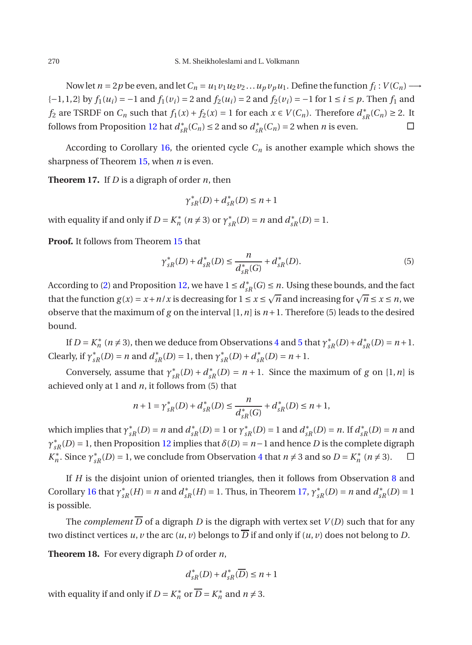Now let  $n = 2p$  be even, and let  $C_n = u_1v_1u_2v_2\ldots u_pv_pu_1$ . Define the function  $f_i: V(C_n) \longrightarrow$ {-1,1,2} by  $f_1(u_i) = -1$  and  $f_1(v_i) = 2$  and  $f_2(u_i) = 2$  and  $f_2(v_i) = -1$  for  $1 \le i \le p$ . Then  $f_1$  and *f*<sub>2</sub> are TSRDF on  $C_n$  such that  $f_1(x) + f_2(x) = 1$  for each  $x \in V(C_n)$ . Therefore  $d_{sR}^*(C_n) \geq 2$ . It follows from Proposition [12](#page-3-2) hat  $d_{sR}^*(C_n) \le 2$  and so  $d_{sR}^*(C_n) = 2$  when *n* is even.

<span id="page-5-0"></span>According to Corollary [16,](#page-4-2) the oriented cycle  $C_n$  is another example which shows the sharpness of Theorem [15,](#page-4-1) when *n* is even.

**Theorem 17.** If *D* is a digraph of order *n*, then

$$
\gamma_{sR}^*(D) + d_{sR}^*(D) \le n + 1
$$

with equality if and only if  $D = K_n^*$  ( $n \neq 3$ ) or  $\gamma_{sR}^*(D) = n$  and  $d_{sR}^*(D) = 1$ .

**Proof.** It follows from Theorem [15](#page-4-1) that

$$
\gamma_{sR}^*(D) + d_{sR}^*(D) \le \frac{n}{d_{sR}^*(G)} + d_{sR}^*(D). \tag{5}
$$

According to [\(2\)](#page-1-1) and Proposition [12,](#page-3-2) we have  $1 \le d_{sR}^*(G) \le n$ . Using these bounds, and the fact that the function  $g(x) = x + n/x$  is decreasing for  $1 \le x \le \sqrt{n}$  and increasing for  $\sqrt{n} \le x \le n$ , we observe that the maximum of *g* on the interval  $[1, n]$  is  $n+1$ . Therefore (5) leads to the desired bound.

If  $D = K_n^*$  ( $n \neq 3$ ), then we deduce from Observations [4](#page-2-5) and [5](#page-2-4) that  $\gamma_{sR}^*(D) + d_{sR}^*(D) = n + 1$ . Clearly, if  $\gamma_{sR}^*(D) = n$  and  $d_{sR}^*(D) = 1$ , then  $\gamma_{sR}^*(D) + d_{sR}^*(D) = n + 1$ .

Conversely, assume that  $\gamma_{sR}^*(D) + d_{sR}^*(D) = n + 1$ . Since the maximum of *g* on [1, *n*] is achieved only at 1 and *n*, it follows from (5) that

$$
n+1 = \gamma_{sR}^*(D) + d_{sR}^*(D) \le \frac{n}{d_{sR}^*(G)} + d_{sR}^*(D) \le n+1,
$$

which implies that  $\gamma_{sR}^*(D) = n$  and  $d_{sR}^*(D) = 1$  or  $\gamma_{sR}^*(D) = 1$  and  $d_{sR}^*(D) = n$ . If  $d_{sR}^*(D) = n$  and  $\gamma_{sR}^*(D) = 1$ , then Proposition [12](#page-3-2) implies that  $\delta(D) = n-1$  and hence *D* is the complete digraph *K*<sup>\*</sup><sub>*n*</sub>. Since  $\gamma$ <sup>\*</sup><sub>*sR*</sub>(*D*) = 1, we conclude from Observation [4](#page-2-5) that  $n \neq 3$  and so  $D = K_n^*$  ( $n \neq 3$ ).  $\square$ 

If *H* is the disjoint union of oriented triangles, then it follows from Observation [8](#page-3-5) and Corollary [16](#page-4-2) that  $\gamma_{sR}^*(H) = n$  and  $d_{sR}^*(H) = 1$ . Thus, in Theorem [17,](#page-5-0)  $\gamma_{sR}^*(D) = n$  and  $d_{sR}^*(D) = 1$ is possible.

The *complement*  $\overline{D}$  of a digraph *D* is the digraph with vertex set *V*(*D*) such that for any two distinct vertices *u*, *v* the arc  $(u, v)$  belongs to  $\overline{D}$  if and only if  $(u, v)$  does not belong to *D*.

**Theorem 18.** For every digraph *D* of order *n*,

$$
d_{sR}^*(D) + d_{sR}^*(\overline{D}) \le n + 1
$$

with equality if and only if  $D = K_n^*$  or  $D = K_n^*$  and  $n \neq 3$ .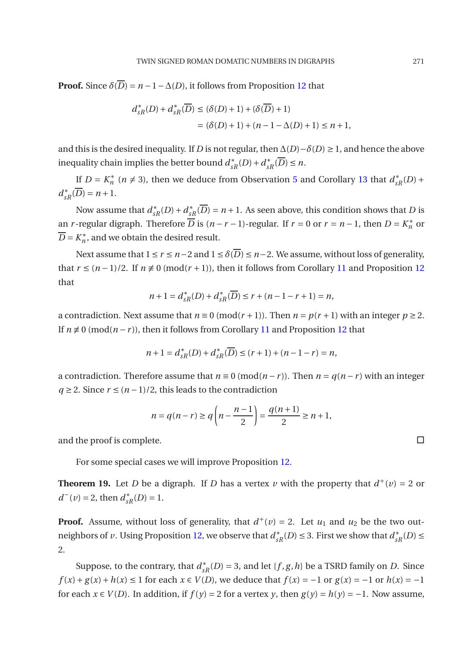**Proof.** Since  $\delta(\overline{D}) = n - 1 - \Delta(D)$ , it follows from Proposition [12](#page-3-2) that

$$
d_{sR}^*(D) + d_{sR}^*(\overline{D}) \le (\delta(D) + 1) + (\delta(\overline{D}) + 1)
$$
  
=  $(\delta(D) + 1) + (n - 1 - \Delta(D) + 1) \le n + 1,$ 

and this is the desired inequality. If *D* is not regular, then  $\Delta(D) - \delta(D) \geq 1$ , and hence the above  $i$  inequality chain implies the better bound  $d_{sR}^*(D) + d_{sR}^*(D) \leq n$ .

If  $D = K_n^*$  ( $n \neq 3$ ), then we deduce from Observation [5](#page-2-4) and Corollary [13](#page-3-3) that  $d_{sR}^*(D)$  +  $d_{sR}^*(D) = n + 1.$ 

Now assume that  $d_{sR}^*(D) + d_{sR}^*(D) = n + 1$ . As seen above, this condition shows that *D* is an *r*-regular digraph. Therefore *D* is  $(n - r - 1)$ -regular. If  $r = 0$  or  $r = n - 1$ , then  $D = K_n^*$  or  $D = K_n^*$ , and we obtain the desired result.

Next assume that  $1 \le r \le n-2$  and  $1 \le \delta(\overline{D}) \le n-2$ . We assume, without loss of generality, that  $r \leq (n-1)/2$ . If  $n \neq 0 \pmod{(r+1)}$ , then it follows from Corollary [11](#page-3-6) and Proposition [12](#page-3-2) that

$$
n+1 = d_{sR}^*(D) + d_{sR}^*(\overline{D}) \le r + (n-1-r+1) = n,
$$

a contradiction. Next assume that  $n \equiv 0 \pmod{(r+1)}$ . Then  $n = p(r+1)$  with an integer  $p \ge 2$ . If  $n \not\equiv 0 \pmod{n-r}$ , then it follows from Corollary [11](#page-3-6) and Proposition [12](#page-3-2) that

$$
n+1 = d_{sR}^*(D) + d_{sR}^*(\overline{D}) \le (r+1) + (n-1-r) = n,
$$

a contradiction. Therefore assume that  $n \equiv 0 \pmod{n-r}$ . Then  $n = q(n-r)$  with an integer *q* ≥ 2. Since  $r$  ≤  $(n-1)/2$ , this leads to the contradiction

$$
n = q(n-r) \ge q\left(n - \frac{n-1}{2}\right) = \frac{q(n+1)}{2} \ge n+1,
$$

and the proof is complete.

<span id="page-6-0"></span>For some special cases we will improve Proposition [12.](#page-3-2)

**Theorem 19.** Let *D* be a digraph. If *D* has a vertex *v* with the property that  $d^+(v) = 2$  or  $d^-(v) = 2$ , then  $d_{sR}^*(D) = 1$ .

**Proof.** Assume, without loss of generality, that  $d^+(v) = 2$ . Let  $u_1$  and  $u_2$  be the two outneighbors of *v*. Using Proposition [12,](#page-3-2) we observe that  $d_{sR}^*(D) \leq 3$ . First we show that  $d_{sR}^*(D) \leq$ 2.

Suppose, to the contrary, that  $d_{sR}^*(D) = 3$ , and let  $\{f, g, h\}$  be a TSRD family on *D*. Since *f*(*x*) + *g*(*x*) + *h*(*x*) ≤ 1 for each *x* ∈ *V*(*D*), we deduce that *f*(*x*) = −1 or *g*(*x*) = −1 or *h*(*x*) = −1 for each  $x \in V(D)$ . In addition, if  $f(y) = 2$  for a vertex *y*, then  $g(y) = h(y) = -1$ . Now assume,